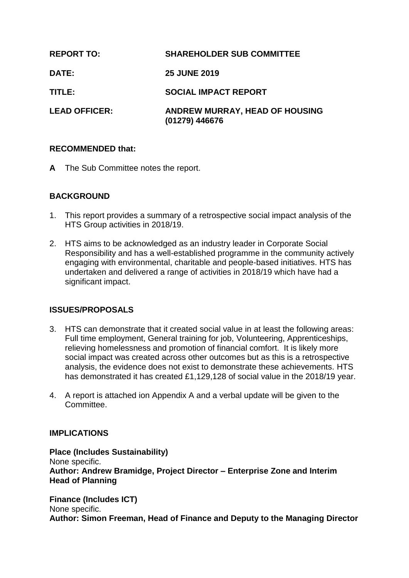| <b>REPORT TO:</b>    | <b>SHAREHOLDER SUB COMMITTEE</b>                 |
|----------------------|--------------------------------------------------|
| <b>DATE:</b>         | <b>25 JUNE 2019</b>                              |
| TITLE:               | <b>SOCIAL IMPACT REPORT</b>                      |
| <b>LEAD OFFICER:</b> | ANDREW MURRAY, HEAD OF HOUSING<br>(01279) 446676 |

## **RECOMMENDED that:**

**A** The Sub Committee notes the report.

# **BACKGROUND**

- 1. This report provides a summary of a retrospective social impact analysis of the HTS Group activities in 2018/19.
- 2. HTS aims to be acknowledged as an industry leader in Corporate Social Responsibility and has a well-established programme in the community actively engaging with environmental, charitable and people-based initiatives. HTS has undertaken and delivered a range of activities in 2018/19 which have had a significant impact.

# **ISSUES/PROPOSALS**

- 3. HTS can demonstrate that it created social value in at least the following areas: Full time employment, General training for job, Volunteering, Apprenticeships, relieving homelessness and promotion of financial comfort. It is likely more social impact was created across other outcomes but as this is a retrospective analysis, the evidence does not exist to demonstrate these achievements. HTS has demonstrated it has created £1,129,128 of social value in the 2018/19 year.
- 4. A report is attached ion Appendix A and a verbal update will be given to the Committee.

### **IMPLICATIONS**

**Place (Includes Sustainability)** None specific. **Author: Andrew Bramidge, Project Director – Enterprise Zone and Interim Head of Planning**

**Finance (Includes ICT)** None specific. **Author: Simon Freeman, Head of Finance and Deputy to the Managing Director**